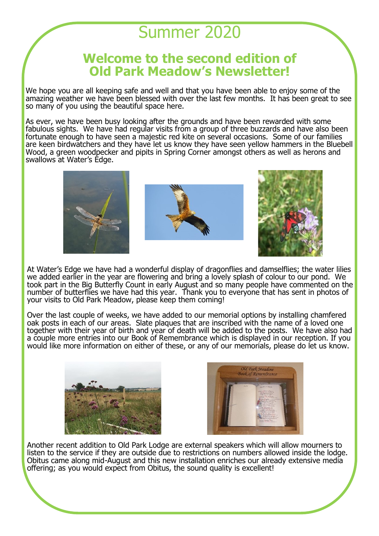## Summer 2020

## **Welcome to the second edition of Old Park Meadow's Newsletter!**

We hope you are all keeping safe and well and that you have been able to enjoy some of the amazing weather we have been blessed with over the last few months. It has been great to see so many of you using the beautiful space here.

As ever, we have been busy looking after the grounds and have been rewarded with some fabulous sights. We have had regular visits from a group of three buzzards and have also been fortunate enough to have seen a majestic red kite on several occasions. Some of our families are keen birdwatchers and they have let us know they have seen yellow hammers in the Bluebell Wood, a green woodpecker and pipits in Spring Corner amongst others as well as herons and swallows at Water's Edge.



At Water's Edge we have had a wonderful display of dragonflies and damselflies; the water lilies we added earlier in the year are flowering and bring a lovely splash of colour to our pond. We took part in the Big Butterfly Count in early August and so many people have commented on the number of butterflies we have had this year. Thank you to everyone that has sent in photos of your visits to Old Park Meadow, please keep them coming!

Over the last couple of weeks, we have added to our memorial options by installing chamfered oak posts in each of our areas. Slate plaques that are inscribed with the name of a loved one together with their year of birth and year of death will be added to the posts. We have also had a couple more entries into our Book of Remembrance which is displayed in our reception. If you would like more information on either of these, or any of our memorials, please do let us know.





Another recent addition to Old Park Lodge are external speakers which will allow mourners to listen to the service if they are outside due to restrictions on numbers allowed inside the lodge. Obitus came along mid-August and this new installation enriches our already extensive media offering; as you would expect from Obitus, the sound quality is excellent!